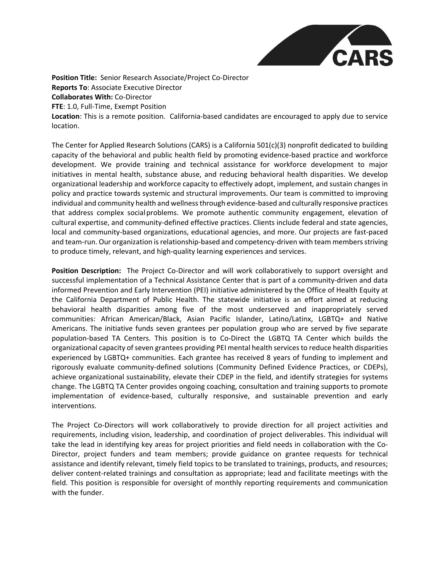

**Position Title:** Senior Research Associate/Project Co-Director **Reports To**: Associate Executive Director **Collaborates With:** Co-Director **FTE**: 1.0, Full-Time, Exempt Position **Location**: This is a remote position. California-based candidates are encouraged to apply due to service location.

The Center for Applied Research Solutions (CARS) is a California 501(c)(3) nonprofit dedicated to building capacity of the behavioral and public health field by promoting evidence-based practice and workforce development. We provide training and technical assistance for workforce development to major initiatives in mental health, substance abuse, and reducing behavioral health disparities. We develop organizational leadership and workforce capacity to effectively adopt, implement, and sustain changes in policy and practice towards systemic and structural improvements. Our team is committed to improving individual and community health and wellness through evidence-based and culturally responsive practices that address complex socialproblems. We promote authentic community engagement, elevation of cultural expertise, and community-defined effective practices. Clients include federal and state agencies, local and community-based organizations, educational agencies, and more. Our projects are fast-paced and team-run. Our organization is relationship-based and competency-driven with team members striving to produce timely, relevant, and high-quality learning experiences and services.

**Position Description:** The Project Co-Director and will work collaboratively to support oversight and successful implementation of a Technical Assistance Center that is part of a community-driven and data informed Prevention and Early Intervention (PEI) initiative administered by the Office of Health Equity at the California Department of Public Health. The statewide initiative is an effort aimed at reducing behavioral health disparities among five of the most underserved and inappropriately served communities: African American/Black, Asian Pacific Islander, Latino/Latinx, LGBTQ+ and Native Americans. The initiative funds seven grantees per population group who are served by five separate population-based TA Centers. This position is to Co-Direct the LGBTQ TA Center which builds the organizational capacity of seven grantees providing PEI mental health services to reduce health disparities experienced by LGBTQ+ communities. Each grantee has received 8 years of funding to implement and rigorously evaluate community-defined solutions (Community Defined Evidence Practices, or CDEPs), achieve organizational sustainability, elevate their CDEP in the field, and identify strategies for systems change. The LGBTQ TA Center provides ongoing coaching, consultation and training supports to promote implementation of evidence-based, culturally responsive, and sustainable prevention and early interventions.

The Project Co-Directors will work collaboratively to provide direction for all project activities and requirements, including vision, leadership, and coordination of project deliverables. This individual will take the lead in identifying key areas for project priorities and field needs in collaboration with the Co-Director, project funders and team members; provide guidance on grantee requests for technical assistance and identify relevant, timely field topics to be translated to trainings, products, and resources; deliver content-related trainings and consultation as appropriate; lead and facilitate meetings with the field. This position is responsible for oversight of monthly reporting requirements and communication with the funder.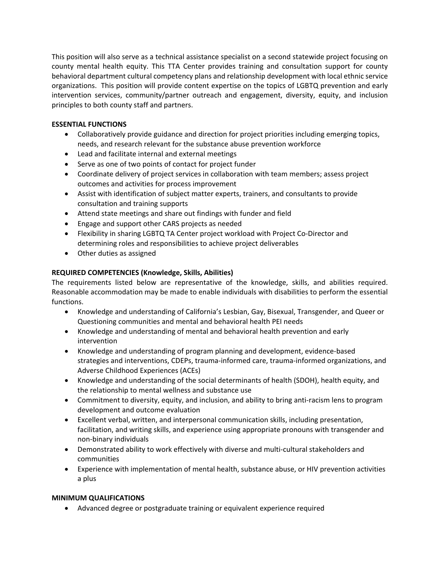This position will also serve as a technical assistance specialist on a second statewide project focusing on county mental health equity. This TTA Center provides training and consultation support for county behavioral department cultural competency plans and relationship development with local ethnic service organizations. This position will provide content expertise on the topics of LGBTQ prevention and early intervention services, community/partner outreach and engagement, diversity, equity, and inclusion principles to both county staff and partners.

## **ESSENTIAL FUNCTIONS**

- Collaboratively provide guidance and direction for project priorities including emerging topics, needs, and research relevant for the substance abuse prevention workforce
- Lead and facilitate internal and external meetings
- Serve as one of two points of contact for project funder
- Coordinate delivery of project services in collaboration with team members; assess project outcomes and activities for process improvement
- Assist with identification of subject matter experts, trainers, and consultants to provide consultation and training supports
- Attend state meetings and share out findings with funder and field
- Engage and support other CARS projects as needed
- Flexibility in sharing LGBTQ TA Center project workload with Project Co-Director and determining roles and responsibilities to achieve project deliverables
- Other duties as assigned

## **REQUIRED COMPETENCIES (Knowledge, Skills, Abilities)**

The requirements listed below are representative of the knowledge, skills, and abilities required. Reasonable accommodation may be made to enable individuals with disabilities to perform the essential functions.

- Knowledge and understanding of California's Lesbian, Gay, Bisexual, Transgender, and Queer or Questioning communities and mental and behavioral health PEI needs
- Knowledge and understanding of mental and behavioral health prevention and early intervention
- Knowledge and understanding of program planning and development, evidence-based strategies and interventions, CDEPs, trauma-informed care, trauma-informed organizations, and Adverse Childhood Experiences (ACEs)
- Knowledge and understanding of the social determinants of health (SDOH), health equity, and the relationship to mental wellness and substance use
- Commitment to diversity, equity, and inclusion, and ability to bring anti-racism lens to program development and outcome evaluation
- Excellent verbal, written, and interpersonal communication skills, including presentation, facilitation, and writing skills, and experience using appropriate pronouns with transgender and non-binary individuals
- Demonstrated ability to work effectively with diverse and multi-cultural stakeholders and communities
- Experience with implementation of mental health, substance abuse, or HIV prevention activities a plus

## **MINIMUM QUALIFICATIONS**

• Advanced degree or postgraduate training or equivalent experience required